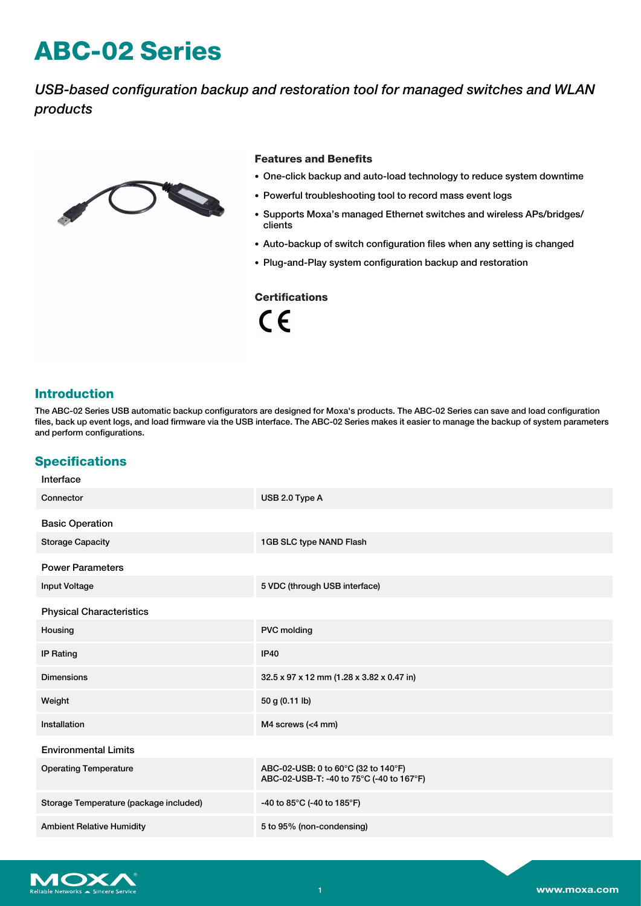# **ABC-02 Series**

*USB-based configuration backup and restoration tool for managed switches and WLAN products*



#### **Features and Benefits**

- One-click backup and auto-load technology to reduce system downtime
- Powerful troubleshooting tool to record mass event logs
- Supports Moxa's managed Ethernet switches and wireless APs/bridges/ clients
- Auto-backup of switch configuration files when any setting is changed
- Plug-and-Play system configuration backup and restoration

#### **Certifications**

 $C \in$ 

### **Introduction**

The ABC-02 Series USB automatic backup configurators are designed for Moxa's products. The ABC-02 Series can save and load configuration files, back up event logs, and load firmware via the USB interface. The ABC-02 Series makes it easier to manage the backup of system parameters and perform configurations.

## **Specifications**

| Interface                              |                                                                                 |  |
|----------------------------------------|---------------------------------------------------------------------------------|--|
| Connector                              | USB 2.0 Type A                                                                  |  |
| <b>Basic Operation</b>                 |                                                                                 |  |
| <b>Storage Capacity</b>                | 1GB SLC type NAND Flash                                                         |  |
| <b>Power Parameters</b>                |                                                                                 |  |
| <b>Input Voltage</b>                   | 5 VDC (through USB interface)                                                   |  |
| <b>Physical Characteristics</b>        |                                                                                 |  |
| Housing                                | <b>PVC</b> molding                                                              |  |
| <b>IP Rating</b>                       | <b>IP40</b>                                                                     |  |
| <b>Dimensions</b>                      | 32.5 x 97 x 12 mm (1.28 x 3.82 x 0.47 in)                                       |  |
| Weight                                 | 50 g (0.11 lb)                                                                  |  |
| Installation                           | M4 screws (<4 mm)                                                               |  |
| <b>Environmental Limits</b>            |                                                                                 |  |
| <b>Operating Temperature</b>           | ABC-02-USB: 0 to 60°C (32 to 140°F)<br>ABC-02-USB-T: -40 to 75°C (-40 to 167°F) |  |
| Storage Temperature (package included) | -40 to 85°C (-40 to 185°F)                                                      |  |
| <b>Ambient Relative Humidity</b>       | 5 to 95% (non-condensing)                                                       |  |
|                                        |                                                                                 |  |